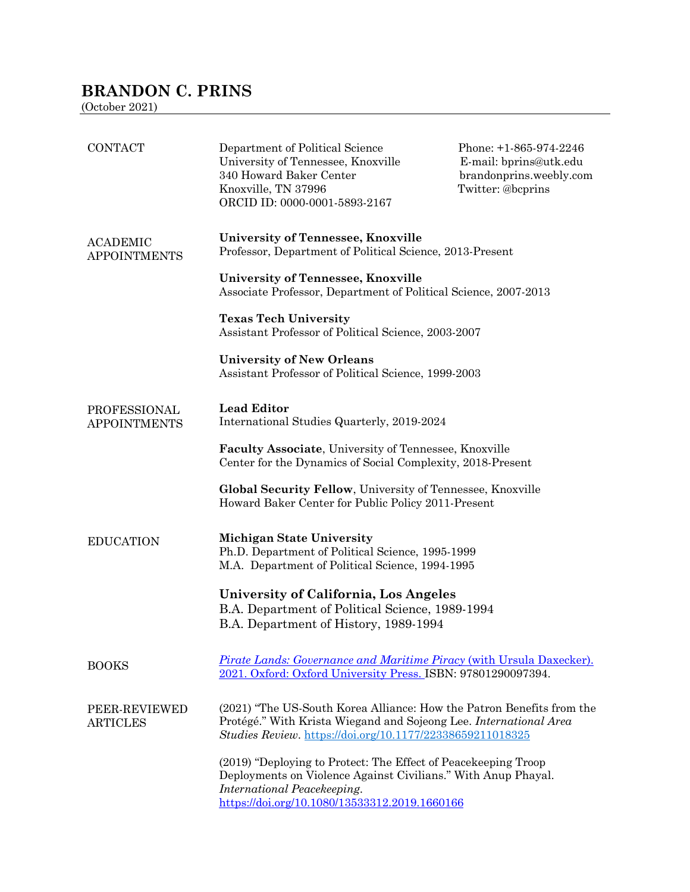# **BRANDON C. PRINS**

(October 2021)

| <b>CONTACT</b>                             | Department of Political Science<br>University of Tennessee, Knoxville<br>340 Howard Baker Center<br>Knoxville, TN 37996<br>ORCID ID: 0000-0001-5893-2167                                                        | Phone: +1-865-974-2246<br>E-mail: bprins@utk.edu<br>brandonprins.weebly.com<br>Twitter: @bcprins |  |
|--------------------------------------------|-----------------------------------------------------------------------------------------------------------------------------------------------------------------------------------------------------------------|--------------------------------------------------------------------------------------------------|--|
| <b>ACADEMIC</b><br><b>APPOINTMENTS</b>     | University of Tennessee, Knoxville<br>Professor, Department of Political Science, 2013-Present                                                                                                                  |                                                                                                  |  |
|                                            | University of Tennessee, Knoxville<br>Associate Professor, Department of Political Science, 2007-2013                                                                                                           |                                                                                                  |  |
|                                            | <b>Texas Tech University</b><br>Assistant Professor of Political Science, 2003-2007                                                                                                                             |                                                                                                  |  |
|                                            | <b>University of New Orleans</b><br>Assistant Professor of Political Science, 1999-2003                                                                                                                         |                                                                                                  |  |
| <b>PROFESSIONAL</b><br><b>APPOINTMENTS</b> | <b>Lead Editor</b><br>International Studies Quarterly, 2019-2024                                                                                                                                                |                                                                                                  |  |
|                                            | Faculty Associate, University of Tennessee, Knoxville<br>Center for the Dynamics of Social Complexity, 2018-Present                                                                                             |                                                                                                  |  |
|                                            | Global Security Fellow, University of Tennessee, Knoxville<br>Howard Baker Center for Public Policy 2011-Present                                                                                                |                                                                                                  |  |
| <b>EDUCATION</b>                           | <b>Michigan State University</b><br>Ph.D. Department of Political Science, 1995-1999<br>M.A. Department of Political Science, 1994-1995                                                                         |                                                                                                  |  |
|                                            | University of California, Los Angeles<br>B.A. Department of Political Science, 1989-1994<br>B.A. Department of History, 1989-1994                                                                               |                                                                                                  |  |
| <b>BOOKS</b>                               | <b>Pirate Lands: Governance and Maritime Piracy (with Ursula Daxecker).</b><br>2021. Oxford: Oxford University Press. ISBN: 97801290097394.                                                                     |                                                                                                  |  |
| PEER-REVIEWED<br><b>ARTICLES</b>           | (2021) "The US-South Korea Alliance: How the Patron Benefits from the<br>Protégé." With Krista Wiegand and Sojeong Lee. International Area<br>Studies Review. https://doi.org/10.1177/22338659211018325         |                                                                                                  |  |
|                                            | (2019) "Deploying to Protect: The Effect of Peacekeeping Troop<br>Deployments on Violence Against Civilians." With Anup Phayal.<br>International Peacekeeping.<br>https://doi.org/10.1080/13533312.2019.1660166 |                                                                                                  |  |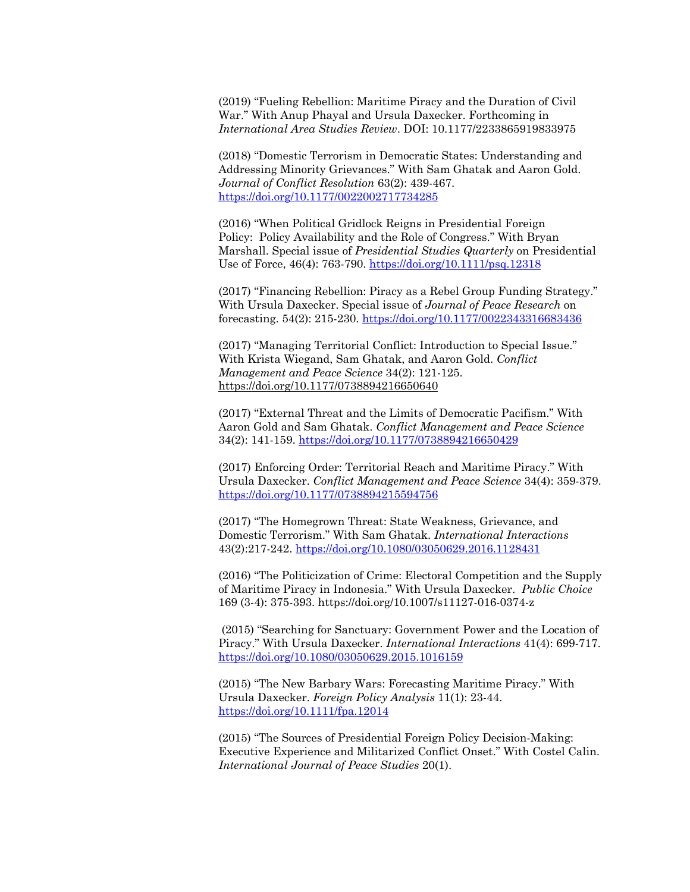(2019) "Fueling Rebellion: Maritime Piracy and the Duration of Civil War." With Anup Phayal and Ursula Daxecker. Forthcoming in *International Area Studies Review*. DOI: 10.1177/2233865919833975

(2018) "Domestic Terrorism in Democratic States: Understanding and Addressing Minority Grievances." With Sam Ghatak and Aaron Gold. *Journal of Conflict Resolution* 63(2): 439-467. https://doi.org/10.1177/0022002717734285

(2016) "When Political Gridlock Reigns in Presidential Foreign Policy: Policy Availability and the Role of Congress." With Bryan Marshall. Special issue of *Presidential Studies Quarterly* on Presidential Use of Force, 46(4): 763-790. https://doi.org/10.1111/psq.12318

(2017) "Financing Rebellion: Piracy as a Rebel Group Funding Strategy." With Ursula Daxecker. Special issue of *Journal of Peace Research* on forecasting. 54(2): 215-230. https://doi.org/10.1177/0022343316683436

(2017) "Managing Territorial Conflict: Introduction to Special Issue." With Krista Wiegand, Sam Ghatak, and Aaron Gold. *Conflict Management and Peace Science* 34(2): 121-125. https://doi.org/10.1177/0738894216650640

(2017) "External Threat and the Limits of Democratic Pacifism." With Aaron Gold and Sam Ghatak. *Conflict Management and Peace Science* 34(2): 141-159. https://doi.org/10.1177/0738894216650429

(2017) Enforcing Order: Territorial Reach and Maritime Piracy." With Ursula Daxecker. *Conflict Management and Peace Science* 34(4): 359-379. https://doi.org/10.1177/0738894215594756

(2017) "The Homegrown Threat: State Weakness, Grievance, and Domestic Terrorism." With Sam Ghatak. *International Interactions* 43(2):217-242. https://doi.org/10.1080/03050629.2016.1128431

(2016) "The Politicization of Crime: Electoral Competition and the Supply of Maritime Piracy in Indonesia." With Ursula Daxecker. *Public Choice*  169 (3-4): 375-393. https://doi.org/10.1007/s11127-016-0374-z

(2015) "Searching for Sanctuary: Government Power and the Location of Piracy." With Ursula Daxecker. *International Interactions* 41(4): 699-717. https://doi.org/10.1080/03050629.2015.1016159

(2015) "The New Barbary Wars: Forecasting Maritime Piracy." With Ursula Daxecker. *Foreign Policy Analysis* 11(1): 23-44. https://doi.org/10.1111/fpa.12014

(2015) "The Sources of Presidential Foreign Policy Decision-Making: Executive Experience and Militarized Conflict Onset." With Costel Calin. *International Journal of Peace Studies* 20(1).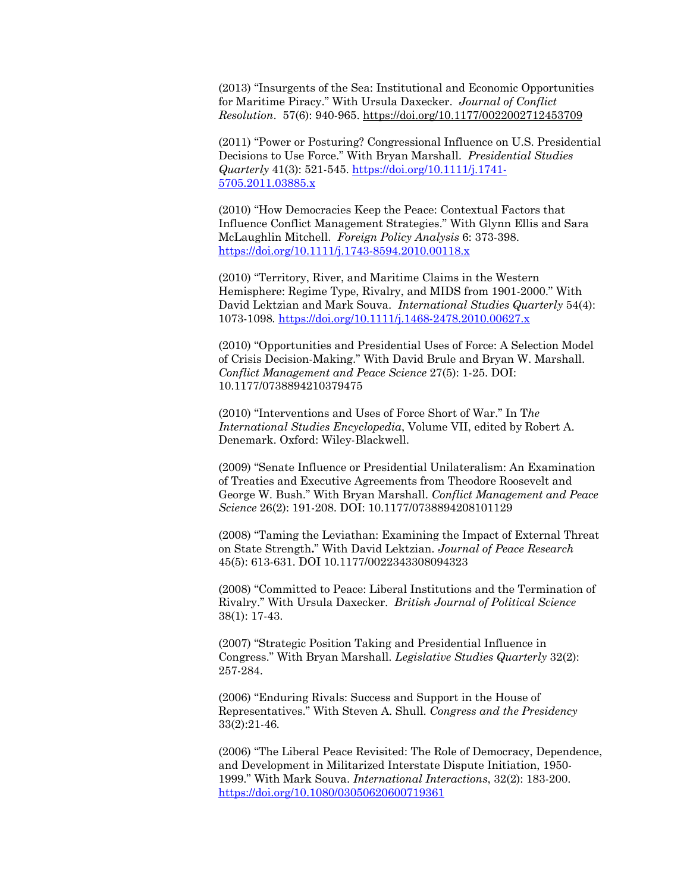(2013) "Insurgents of the Sea: Institutional and Economic Opportunities for Maritime Piracy." With Ursula Daxecker. *Journal of Conflict Resolution*. 57(6): 940-965. https://doi.org/10.1177/0022002712453709

(2011) "Power or Posturing? Congressional Influence on U.S. Presidential Decisions to Use Force." With Bryan Marshall. *Presidential Studies Quarterly* 41(3): 521-545. https://doi.org/10.1111/j.1741- 5705.2011.03885.x

(2010) "How Democracies Keep the Peace: Contextual Factors that Influence Conflict Management Strategies." With Glynn Ellis and Sara McLaughlin Mitchell. *Foreign Policy Analysis* 6: 373-398. https://doi.org/10.1111/j.1743-8594.2010.00118.x

(2010) "Territory, River, and Maritime Claims in the Western Hemisphere: Regime Type, Rivalry, and MIDS from 1901-2000." With David Lektzian and Mark Souva. *International Studies Quarterly* 54(4): 1073-1098*.* https://doi.org/10.1111/j.1468-2478.2010.00627.x

(2010) "Opportunities and Presidential Uses of Force: A Selection Model of Crisis Decision-Making." With David Brule and Bryan W. Marshall. *Conflict Management and Peace Science* 27(5): 1-25. DOI: 10.1177/0738894210379475

(2010) "Interventions and Uses of Force Short of War." In T*he International Studies Encyclopedia*, Volume VII, edited by Robert A. Denemark. Oxford: Wiley-Blackwell.

(2009) "Senate Influence or Presidential Unilateralism: An Examination of Treaties and Executive Agreements from Theodore Roosevelt and George W. Bush." With Bryan Marshall. *Conflict Management and Peace Science* 26(2): 191-208. DOI: 10.1177/0738894208101129

(2008) "Taming the Leviathan: Examining the Impact of External Threat on State Strength**.**" With David Lektzian. *Journal of Peace Research* 45(5): 613-631. DOI 10.1177/0022343308094323

(2008) "Committed to Peace: Liberal Institutions and the Termination of Rivalry." With Ursula Daxecker. *British Journal of Political Science*  38(1): 17-43.

(2007) "Strategic Position Taking and Presidential Influence in Congress." With Bryan Marshall. *Legislative Studies Quarterly* 32(2): 257-284.

(2006) "Enduring Rivals: Success and Support in the House of Representatives." With Steven A. Shull. *Congress and the Presidency*  33(2):21-46*.*

(2006) "The Liberal Peace Revisited: The Role of Democracy, Dependence, and Development in Militarized Interstate Dispute Initiation, 1950- 1999." With Mark Souva. *International Interactions*, 32(2): 183-200. https://doi.org/10.1080/03050620600719361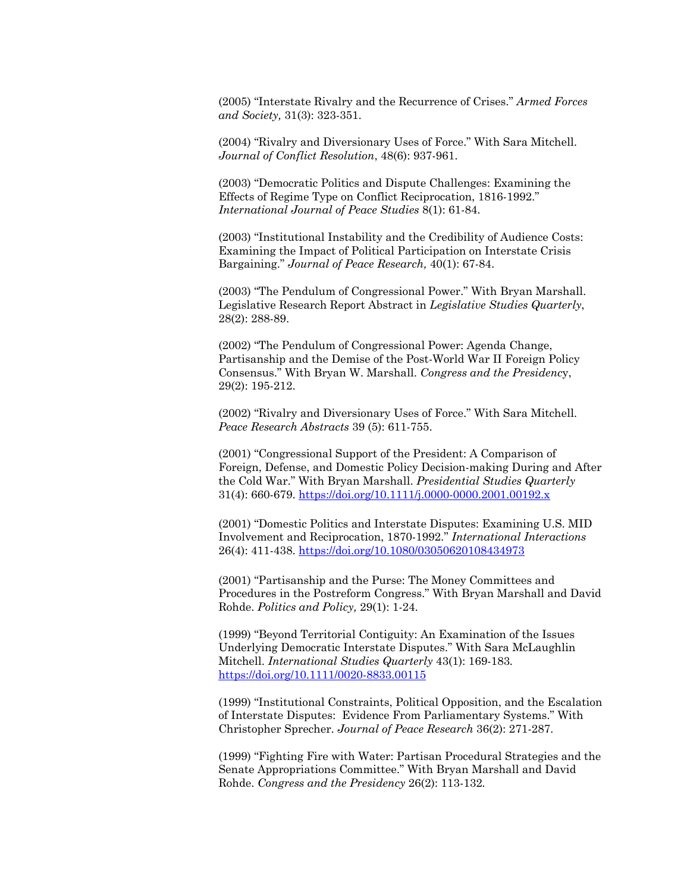(2005) "Interstate Rivalry and the Recurrence of Crises." *Armed Forces and Society,* 31(3): 323-351.

(2004) "Rivalry and Diversionary Uses of Force." With Sara Mitchell. *Journal of Conflict Resolution*, 48(6): 937-961.

(2003) "Democratic Politics and Dispute Challenges: Examining the Effects of Regime Type on Conflict Reciprocation, 1816-1992." *International Journal of Peace Studies* 8(1): 61-84.

(2003) "Institutional Instability and the Credibility of Audience Costs: Examining the Impact of Political Participation on Interstate Crisis Bargaining." *Journal of Peace Research,* 40(1): 67-84.

(2003) "The Pendulum of Congressional Power." With Bryan Marshall. Legislative Research Report Abstract in *Legislative Studies Quarterly*, 28(2): 288-89.

(2002) "The Pendulum of Congressional Power: Agenda Change, Partisanship and the Demise of the Post-World War II Foreign Policy Consensus." With Bryan W. Marshall. *Congress and the Presidenc*y, 29(2): 195-212.

(2002) "Rivalry and Diversionary Uses of Force." With Sara Mitchell. *Peace Research Abstracts* 39 (5): 611-755.

(2001) "Congressional Support of the President: A Comparison of Foreign, Defense, and Domestic Policy Decision-making During and After the Cold War." With Bryan Marshall. *Presidential Studies Quarterly* 31(4): 660-679. https://doi.org/10.1111/j.0000-0000.2001.00192.x

(2001) "Domestic Politics and Interstate Disputes: Examining U.S. MID Involvement and Reciprocation, 1870-1992." *International Interactions*  26(4): 411-438. https://doi.org/10.1080/03050620108434973

(2001) "Partisanship and the Purse: The Money Committees and Procedures in the Postreform Congress." With Bryan Marshall and David Rohde. *Politics and Policy,* 29(1): 1-24.

(1999) "Beyond Territorial Contiguity: An Examination of the Issues Underlying Democratic Interstate Disputes." With Sara McLaughlin Mitchell. *International Studies Quarterly* 43(1): 169-183*.* https://doi.org/10.1111/0020-8833.00115

(1999) "Institutional Constraints, Political Opposition, and the Escalation of Interstate Disputes: Evidence From Parliamentary Systems." With Christopher Sprecher. *Journal of Peace Research* 36(2): 271-287.

(1999) "Fighting Fire with Water: Partisan Procedural Strategies and the Senate Appropriations Committee." With Bryan Marshall and David Rohde. *Congress and the Presidency* 26(2): 113-132*.*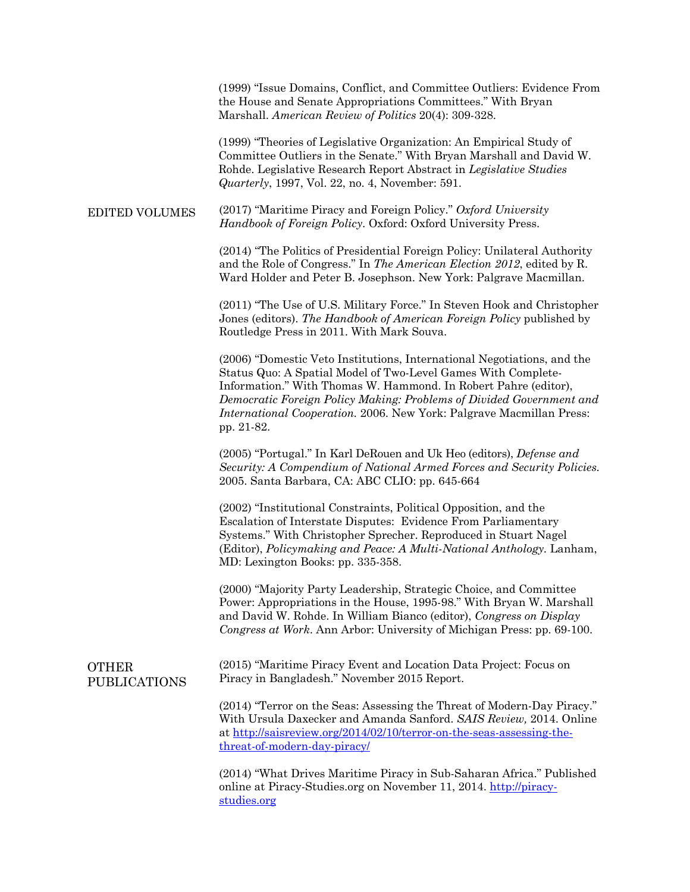(1999) "Issue Domains, Conflict, and Committee Outliers: Evidence From the House and Senate Appropriations Committees." With Bryan Marshall. *American Review of Politics* 20(4): 309-328.

(1999) "Theories of Legislative Organization: An Empirical Study of Committee Outliers in the Senate." With Bryan Marshall and David W. Rohde. Legislative Research Report Abstract in *Legislative Studies Quarterly*, 1997, Vol. 22, no. 4, November: 591.

#### EDITED VOLUMES (2017) "Maritime Piracy and Foreign Policy." *Oxford University Handbook of Foreign Policy*. Oxford: Oxford University Press.

(2014) "The Politics of Presidential Foreign Policy: Unilateral Authority and the Role of Congress." In *The American Election 2012*, edited by R. Ward Holder and Peter B. Josephson. New York: Palgrave Macmillan.

(2011) "The Use of U.S. Military Force." In Steven Hook and Christopher Jones (editors). *The Handbook of American Foreign Policy* published by Routledge Press in 2011. With Mark Souva.

(2006) "Domestic Veto Institutions, International Negotiations, and the Status Quo: A Spatial Model of Two-Level Games With Complete-Information." With Thomas W. Hammond. In Robert Pahre (editor), *Democratic Foreign Policy Making: Problems of Divided Government and International Cooperation.* 2006. New York: Palgrave Macmillan Press: pp. 21-82.

(2005) "Portugal." In Karl DeRouen and Uk Heo (editors), *Defense and Security: A Compendium of National Armed Forces and Security Policies.* 2005. Santa Barbara, CA: ABC CLIO: pp. 645-664

(2002) "Institutional Constraints, Political Opposition, and the Escalation of Interstate Disputes: Evidence From Parliamentary Systems." With Christopher Sprecher. Reproduced in Stuart Nagel (Editor), *Policymaking and Peace: A Multi-National Anthology.* Lanham, MD: Lexington Books: pp. 335-358.

(2000) "Majority Party Leadership, Strategic Choice, and Committee Power: Appropriations in the House, 1995-98." With Bryan W. Marshall and David W. Rohde. In William Bianco (editor), *Congress on Display Congress at Work*. Ann Arbor: University of Michigan Press: pp. 69-100.

### OTHER PUBLICATIONS

(2015) "Maritime Piracy Event and Location Data Project: Focus on Piracy in Bangladesh." November 2015 Report.

(2014) "Terror on the Seas: Assessing the Threat of Modern-Day Piracy." With Ursula Daxecker and Amanda Sanford. *SAIS Review,* 2014. Online at http://saisreview.org/2014/02/10/terror-on-the-seas-assessing-thethreat-of-modern-day-piracy/

(2014) "What Drives Maritime Piracy in Sub-Saharan Africa." Published online at Piracy-Studies.org on November 11, 2014. http://piracystudies.org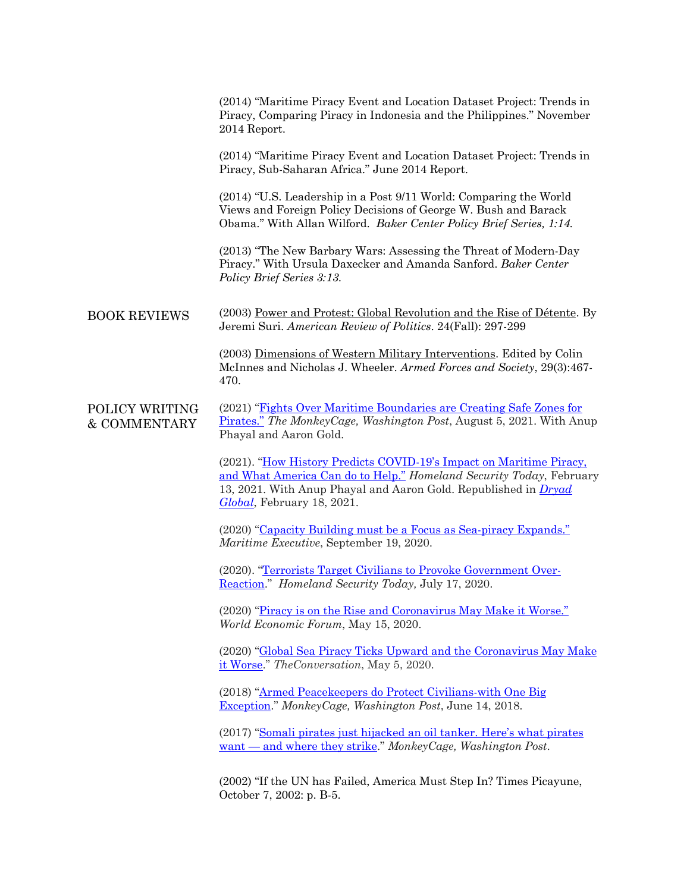|                                           | (2014) "Maritime Piracy Event and Location Dataset Project: Trends in<br>Piracy, Comparing Piracy in Indonesia and the Philippines." November<br>2014 Report.                                                                                      |
|-------------------------------------------|----------------------------------------------------------------------------------------------------------------------------------------------------------------------------------------------------------------------------------------------------|
|                                           | (2014) "Maritime Piracy Event and Location Dataset Project: Trends in<br>Piracy, Sub-Saharan Africa." June 2014 Report.                                                                                                                            |
|                                           | (2014) "U.S. Leadership in a Post 9/11 World: Comparing the World<br>Views and Foreign Policy Decisions of George W. Bush and Barack<br>Obama." With Allan Wilford. Baker Center Policy Brief Series, 1:14.                                        |
|                                           | (2013) "The New Barbary Wars: Assessing the Threat of Modern-Day<br>Piracy." With Ursula Daxecker and Amanda Sanford. Baker Center<br>Policy Brief Series 3:13.                                                                                    |
| <b>BOOK REVIEWS</b>                       | (2003) Power and Protest: Global Revolution and the Rise of Détente. By<br>Jeremi Suri. American Review of Politics. 24(Fall): 297-299                                                                                                             |
|                                           | (2003) Dimensions of Western Military Interventions. Edited by Colin<br>McInnes and Nicholas J. Wheeler. Armed Forces and Society, 29(3):467-<br>470.                                                                                              |
| POLICY WRITING<br><b>&amp; COMMENTARY</b> | (2021) "Fights Over Maritime Boundaries are Creating Safe Zones for<br>Pirates." The MonkeyCage, Washington Post, August 5, 2021. With Anup<br>Phayal and Aaron Gold.                                                                              |
|                                           | (2021). "How History Predicts COVID-19's Impact on Maritime Piracy,<br>and What America Can do to Help." Homeland Security Today, February<br>13, 2021. With Anup Phayal and Aaron Gold. Republished in <i>Dryad</i><br>Global, February 18, 2021. |
|                                           | (2020) "Capacity Building must be a Focus as Sea-piracy Expands."<br>Maritime Executive, September 19, 2020.                                                                                                                                       |
|                                           | (2020). "Terrorists Target Civilians to Provoke Government Over-<br>Reaction." Homeland Security Today, July 17, 2020.                                                                                                                             |
|                                           | (2020) "Piracy is on the Rise and Coronavirus May Make it Worse."<br>World Economic Forum, May 15, 2020.                                                                                                                                           |
|                                           | (2020) "Global Sea Piracy Ticks Upward and the Coronavirus May Make<br>it Worse." The Conversation, May 5, 2020.                                                                                                                                   |
|                                           | (2018) "Armed Peacekeepers do Protect Civilians-with One Big<br>Exception." MonkeyCage, Washington Post, June 14, 2018.                                                                                                                            |
|                                           | (2017) "Somali pirates just hijacked an oil tanker. Here's what pirates<br>$want — and where they strike." MonkeyCage, Washington Post.$                                                                                                           |
|                                           | (2002) "If the UN has Failed, America Must Step In? Times Picayune,<br>October 7, 2002: p. B-5.                                                                                                                                                    |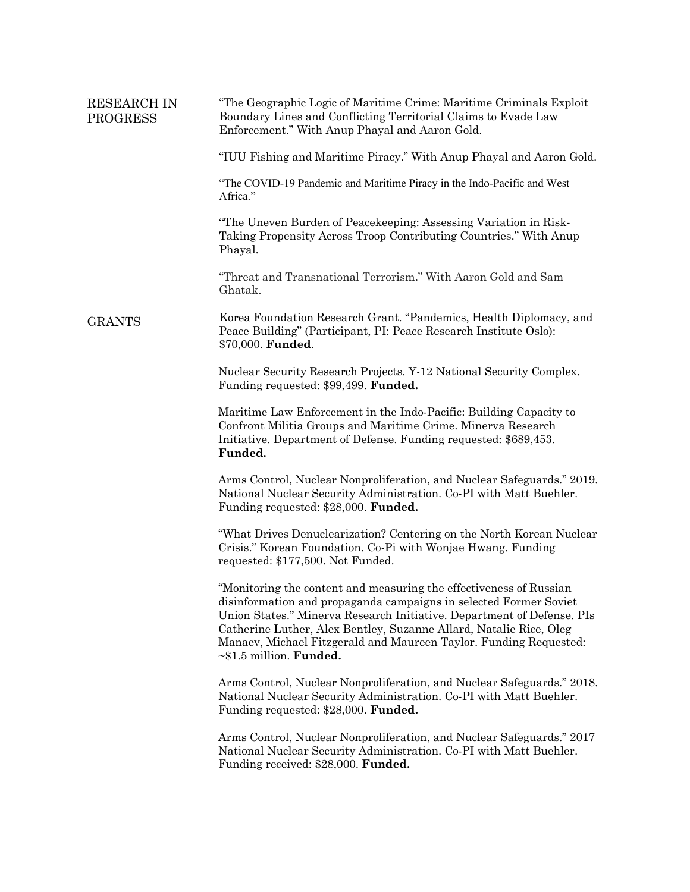| <b>RESEARCH IN</b><br><b>PROGRESS</b> | "The Geographic Logic of Maritime Crime: Maritime Criminals Exploit<br>Boundary Lines and Conflicting Territorial Claims to Evade Law<br>Enforcement." With Anup Phayal and Aaron Gold.                                                                                                                                                                                                        |
|---------------------------------------|------------------------------------------------------------------------------------------------------------------------------------------------------------------------------------------------------------------------------------------------------------------------------------------------------------------------------------------------------------------------------------------------|
|                                       | "IUU Fishing and Maritime Piracy." With Anup Phayal and Aaron Gold.                                                                                                                                                                                                                                                                                                                            |
|                                       | "The COVID-19 Pandemic and Maritime Piracy in the Indo-Pacific and West<br>Africa."                                                                                                                                                                                                                                                                                                            |
|                                       | "The Uneven Burden of Peacekeeping: Assessing Variation in Risk-<br>Taking Propensity Across Troop Contributing Countries." With Anup<br>Phayal.                                                                                                                                                                                                                                               |
|                                       | "Threat and Transnational Terrorism." With Aaron Gold and Sam<br>Ghatak.                                                                                                                                                                                                                                                                                                                       |
| <b>GRANTS</b>                         | Korea Foundation Research Grant. "Pandemics, Health Diplomacy, and<br>Peace Building" (Participant, PI: Peace Research Institute Oslo):<br>\$70,000. Funded.                                                                                                                                                                                                                                   |
|                                       | Nuclear Security Research Projects. Y-12 National Security Complex.<br>Funding requested: \$99,499. Funded.                                                                                                                                                                                                                                                                                    |
|                                       | Maritime Law Enforcement in the Indo-Pacific: Building Capacity to<br>Confront Militia Groups and Maritime Crime. Minerva Research<br>Initiative. Department of Defense. Funding requested: \$689,453.<br>Funded.                                                                                                                                                                              |
|                                       | Arms Control, Nuclear Nonproliferation, and Nuclear Safeguards." 2019.<br>National Nuclear Security Administration. Co-PI with Matt Buehler.<br>Funding requested: \$28,000. Funded.                                                                                                                                                                                                           |
|                                       | "What Drives Denuclearization? Centering on the North Korean Nuclear<br>Crisis." Korean Foundation. Co-Pi with Wonjae Hwang. Funding<br>requested: \$177,500. Not Funded.                                                                                                                                                                                                                      |
|                                       | "Monitoring the content and measuring the effectiveness of Russian<br>disinformation and propaganda campaigns in selected Former Soviet<br>Union States." Minerva Research Initiative. Department of Defense. PIs<br>Catherine Luther, Alex Bentley, Suzanne Allard, Natalie Rice, Oleg<br>Manaev, Michael Fitzgerald and Maureen Taylor. Funding Requested:<br>$~\sim$ \$1.5 million. Funded. |
|                                       | Arms Control, Nuclear Nonproliferation, and Nuclear Safeguards." 2018.<br>National Nuclear Security Administration. Co-PI with Matt Buehler.<br>Funding requested: \$28,000. Funded.                                                                                                                                                                                                           |
|                                       | Arms Control, Nuclear Nonproliferation, and Nuclear Safeguards." 2017<br>National Nuclear Security Administration. Co-PI with Matt Buehler.<br>Funding received: \$28,000. Funded.                                                                                                                                                                                                             |
|                                       |                                                                                                                                                                                                                                                                                                                                                                                                |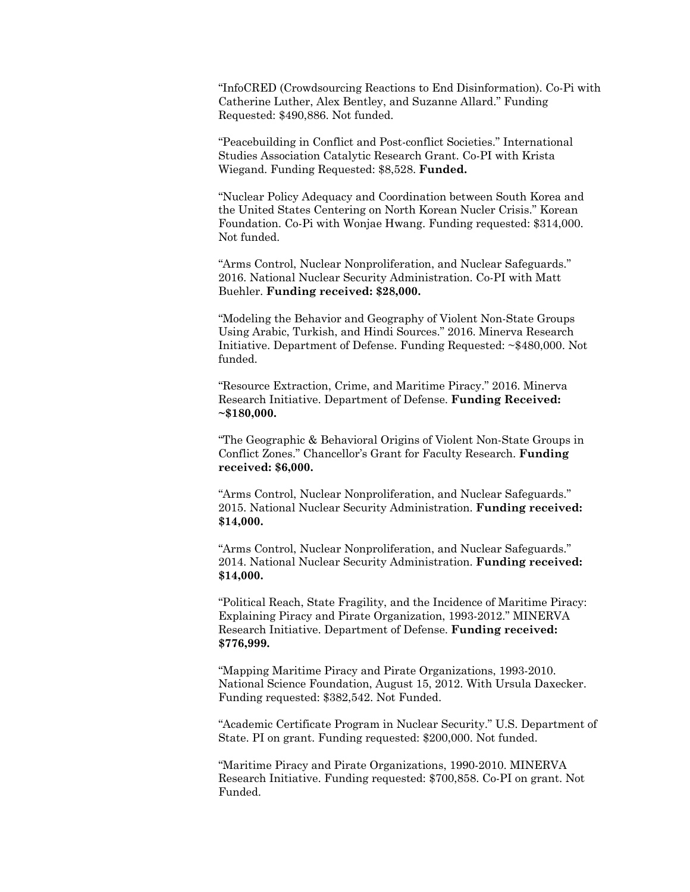"InfoCRED (Crowdsourcing Reactions to End Disinformation). Co-Pi with Catherine Luther, Alex Bentley, and Suzanne Allard." Funding Requested: \$490,886. Not funded.

"Peacebuilding in Conflict and Post-conflict Societies." International Studies Association Catalytic Research Grant. Co-PI with Krista Wiegand. Funding Requested: \$8,528. **Funded.**

"Nuclear Policy Adequacy and Coordination between South Korea and the United States Centering on North Korean Nucler Crisis." Korean Foundation. Co-Pi with Wonjae Hwang. Funding requested: \$314,000. Not funded.

"Arms Control, Nuclear Nonproliferation, and Nuclear Safeguards." 2016. National Nuclear Security Administration. Co-PI with Matt Buehler. **Funding received: \$28,000.**

"Modeling the Behavior and Geography of Violent Non-State Groups Using Arabic, Turkish, and Hindi Sources." 2016. Minerva Research Initiative. Department of Defense. Funding Requested: ~\$480,000. Not funded.

"Resource Extraction, Crime, and Maritime Piracy." 2016. Minerva Research Initiative. Department of Defense. **Funding Received: ~\$180,000.**

"The Geographic & Behavioral Origins of Violent Non-State Groups in Conflict Zones." Chancellor's Grant for Faculty Research. **Funding received: \$6,000.**

"Arms Control, Nuclear Nonproliferation, and Nuclear Safeguards." 2015. National Nuclear Security Administration. **Funding received: \$14,000.**

"Arms Control, Nuclear Nonproliferation, and Nuclear Safeguards." 2014. National Nuclear Security Administration. **Funding received: \$14,000.**

"Political Reach, State Fragility, and the Incidence of Maritime Piracy: Explaining Piracy and Pirate Organization, 1993-2012." MINERVA Research Initiative. Department of Defense. **Funding received: \$776,999.**

"Mapping Maritime Piracy and Pirate Organizations, 1993-2010. National Science Foundation, August 15, 2012. With Ursula Daxecker. Funding requested: \$382,542. Not Funded.

"Academic Certificate Program in Nuclear Security." U.S. Department of State. PI on grant. Funding requested: \$200,000. Not funded.

"Maritime Piracy and Pirate Organizations, 1990-2010. MINERVA Research Initiative. Funding requested: \$700,858. Co-PI on grant. Not Funded.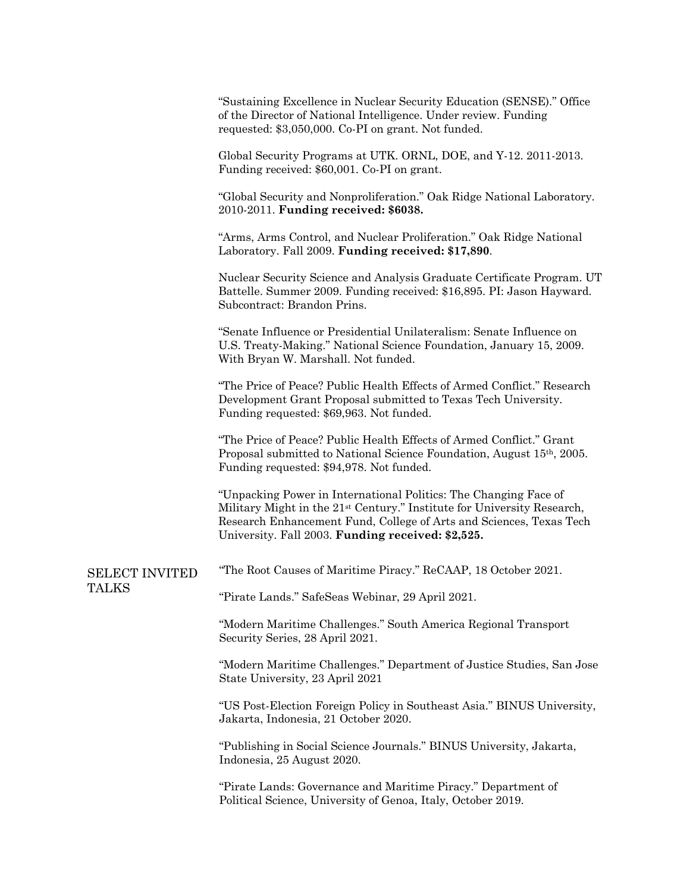|                                       | "Sustaining Excellence in Nuclear Security Education (SENSE)." Office<br>of the Director of National Intelligence. Under review. Funding<br>requested: \$3,050,000. Co-PI on grant. Not funded.                                                                                     |
|---------------------------------------|-------------------------------------------------------------------------------------------------------------------------------------------------------------------------------------------------------------------------------------------------------------------------------------|
|                                       | Global Security Programs at UTK. ORNL, DOE, and Y-12. 2011-2013.<br>Funding received: \$60,001. Co-PI on grant.                                                                                                                                                                     |
|                                       | "Global Security and Nonproliferation." Oak Ridge National Laboratory.<br>2010-2011. Funding received: \$6038.                                                                                                                                                                      |
|                                       | "Arms, Arms Control, and Nuclear Proliferation." Oak Ridge National<br>Laboratory. Fall 2009. Funding received: \$17,890.                                                                                                                                                           |
|                                       | Nuclear Security Science and Analysis Graduate Certificate Program. UT<br>Battelle. Summer 2009. Funding received: \$16,895. PI: Jason Hayward.<br>Subcontract: Brandon Prins.                                                                                                      |
|                                       | "Senate Influence or Presidential Unilateralism: Senate Influence on<br>U.S. Treaty-Making." National Science Foundation, January 15, 2009.<br>With Bryan W. Marshall. Not funded.                                                                                                  |
|                                       | "The Price of Peace? Public Health Effects of Armed Conflict." Research<br>Development Grant Proposal submitted to Texas Tech University.<br>Funding requested: \$69,963. Not funded.                                                                                               |
|                                       | "The Price of Peace? Public Health Effects of Armed Conflict." Grant<br>Proposal submitted to National Science Foundation, August 15th, 2005.<br>Funding requested: \$94,978. Not funded.                                                                                           |
|                                       | "Unpacking Power in International Politics: The Changing Face of<br>Military Might in the 21 <sup>st</sup> Century." Institute for University Research,<br>Research Enhancement Fund, College of Arts and Sciences, Texas Tech<br>University. Fall 2003. Funding received: \$2,525. |
| <b>SELECT INVITED</b><br><b>TALKS</b> | "The Root Causes of Maritime Piracy." ReCAAP, 18 October 2021.                                                                                                                                                                                                                      |
|                                       | "Pirate Lands." SafeSeas Webinar, 29 April 2021.                                                                                                                                                                                                                                    |
|                                       | "Modern Maritime Challenges." South America Regional Transport<br>Security Series, 28 April 2021.                                                                                                                                                                                   |
|                                       | "Modern Maritime Challenges." Department of Justice Studies, San Jose<br>State University, 23 April 2021                                                                                                                                                                            |
|                                       | "US Post-Election Foreign Policy in Southeast Asia." BINUS University,<br>Jakarta, Indonesia, 21 October 2020.                                                                                                                                                                      |
|                                       | "Publishing in Social Science Journals." BINUS University, Jakarta,<br>Indonesia, 25 August 2020.                                                                                                                                                                                   |
|                                       | "Pirate Lands: Governance and Maritime Piracy." Department of<br>Political Science, University of Genoa, Italy, October 2019.                                                                                                                                                       |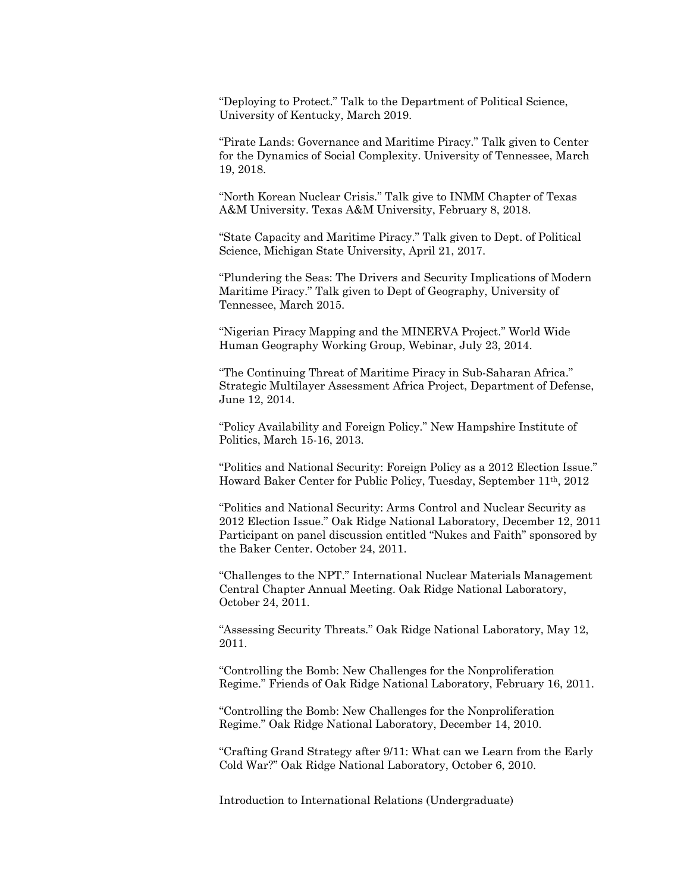"Deploying to Protect." Talk to the Department of Political Science, University of Kentucky, March 2019.

"Pirate Lands: Governance and Maritime Piracy." Talk given to Center for the Dynamics of Social Complexity. University of Tennessee, March 19, 2018.

"North Korean Nuclear Crisis." Talk give to INMM Chapter of Texas A&M University. Texas A&M University, February 8, 2018.

"State Capacity and Maritime Piracy." Talk given to Dept. of Political Science, Michigan State University, April 21, 2017.

"Plundering the Seas: The Drivers and Security Implications of Modern Maritime Piracy." Talk given to Dept of Geography, University of Tennessee, March 2015.

"Nigerian Piracy Mapping and the MINERVA Project." World Wide Human Geography Working Group, Webinar, July 23, 2014.

"The Continuing Threat of Maritime Piracy in Sub-Saharan Africa." Strategic Multilayer Assessment Africa Project, Department of Defense, June 12, 2014.

"Policy Availability and Foreign Policy." New Hampshire Institute of Politics, March 15-16, 2013.

"Politics and National Security: Foreign Policy as a 2012 Election Issue." Howard Baker Center for Public Policy, Tuesday, September 11th, 2012

"Politics and National Security: Arms Control and Nuclear Security as 2012 Election Issue." Oak Ridge National Laboratory, December 12, 2011 Participant on panel discussion entitled "Nukes and Faith" sponsored by the Baker Center. October 24, 2011.

"Challenges to the NPT." International Nuclear Materials Management Central Chapter Annual Meeting. Oak Ridge National Laboratory, October 24, 2011.

"Assessing Security Threats." Oak Ridge National Laboratory, May 12, 2011.

"Controlling the Bomb: New Challenges for the Nonproliferation Regime." Friends of Oak Ridge National Laboratory, February 16, 2011.

"Controlling the Bomb: New Challenges for the Nonproliferation Regime." Oak Ridge National Laboratory, December 14, 2010.

"Crafting Grand Strategy after 9/11: What can we Learn from the Early Cold War?" Oak Ridge National Laboratory, October 6, 2010.

Introduction to International Relations (Undergraduate)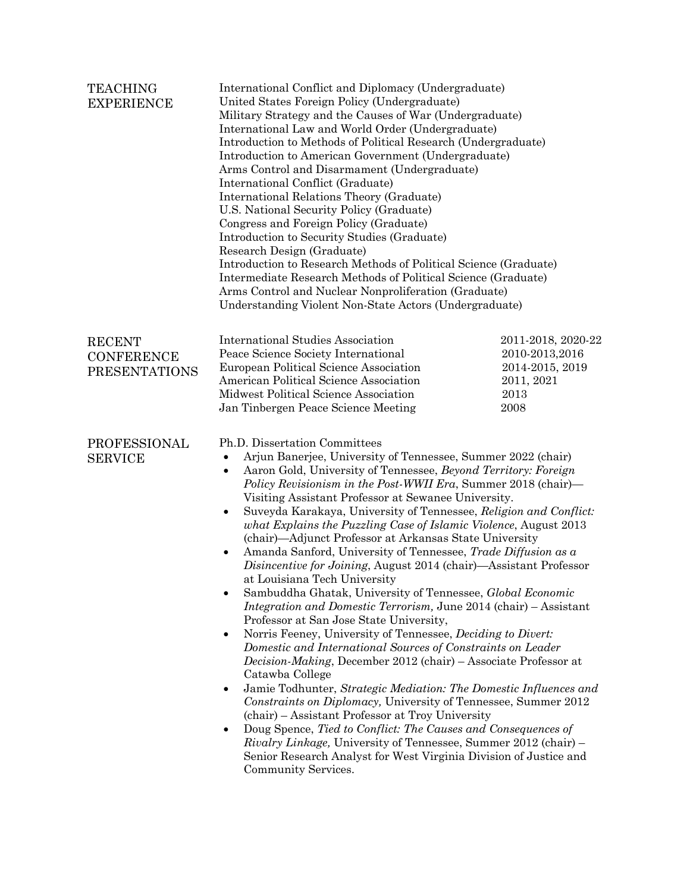| <b>TEACHING</b><br><b>EXPERIENCE</b>                       | International Conflict and Diplomacy (Undergraduate)<br>United States Foreign Policy (Undergraduate)<br>Military Strategy and the Causes of War (Undergraduate)<br>International Law and World Order (Undergraduate)<br>Introduction to Methods of Political Research (Undergraduate)<br>Introduction to American Government (Undergraduate)<br>Arms Control and Disarmament (Undergraduate)<br>International Conflict (Graduate)<br>International Relations Theory (Graduate)<br>U.S. National Security Policy (Graduate)<br>Congress and Foreign Policy (Graduate)<br>Introduction to Security Studies (Graduate)<br>Research Design (Graduate)<br>Introduction to Research Methods of Political Science (Graduate)<br>Intermediate Research Methods of Political Science (Graduate)<br>Arms Control and Nuclear Nonproliferation (Graduate)<br>Understanding Violent Non-State Actors (Undergraduate)                                                                                                                                                                                                                                                                                                                                                                                                                                                                                                                                                                                                                                                       |                                                                                       |  |
|------------------------------------------------------------|----------------------------------------------------------------------------------------------------------------------------------------------------------------------------------------------------------------------------------------------------------------------------------------------------------------------------------------------------------------------------------------------------------------------------------------------------------------------------------------------------------------------------------------------------------------------------------------------------------------------------------------------------------------------------------------------------------------------------------------------------------------------------------------------------------------------------------------------------------------------------------------------------------------------------------------------------------------------------------------------------------------------------------------------------------------------------------------------------------------------------------------------------------------------------------------------------------------------------------------------------------------------------------------------------------------------------------------------------------------------------------------------------------------------------------------------------------------------------------------------------------------------------------------------------------------|---------------------------------------------------------------------------------------|--|
| <b>RECENT</b><br><b>CONFERENCE</b><br><b>PRESENTATIONS</b> | <b>International Studies Association</b><br>Peace Science Society International<br>European Political Science Association<br>American Political Science Association<br>Midwest Political Science Association<br>Jan Tinbergen Peace Science Meeting                                                                                                                                                                                                                                                                                                                                                                                                                                                                                                                                                                                                                                                                                                                                                                                                                                                                                                                                                                                                                                                                                                                                                                                                                                                                                                            | 2011-2018, 2020-22<br>2010-2013,2016<br>2014-2015, 2019<br>2011, 2021<br>2013<br>2008 |  |
| PROFESSIONAL<br><b>SERVICE</b>                             | Ph.D. Dissertation Committees<br>Arjun Banerjee, University of Tennessee, Summer 2022 (chair)<br>٠<br>Aaron Gold, University of Tennessee, Beyond Territory: Foreign<br>$\bullet$<br>Policy Revisionism in the Post-WWII Era, Summer 2018 (chair)—<br>Visiting Assistant Professor at Sewanee University.<br>Suveyda Karakaya, University of Tennessee, Religion and Conflict:<br>٠<br>what Explains the Puzzling Case of Islamic Violence, August 2013<br>(chair)—Adjunct Professor at Arkansas State University<br>Amanda Sanford, University of Tennessee, Trade Diffusion as a<br>٠<br><i>Disincentive for Joining</i> , August 2014 (chair)—Assistant Professor<br>at Louisiana Tech University<br>Sambuddha Ghatak, University of Tennessee, Global Economic<br><i>Integration and Domestic Terrorism, June 2014 (chair) – Assistant</i><br>Professor at San Jose State University,<br>Norris Feeney, University of Tennessee, <i>Deciding to Divert:</i><br>٠<br>Domestic and International Sources of Constraints on Leader<br>Decision-Making, December 2012 (chair) - Associate Professor at<br>Catawba College<br>Jamie Todhunter, Strategic Mediation: The Domestic Influences and<br>٠<br>Constraints on Diplomacy, University of Tennessee, Summer 2012<br>(chair) – Assistant Professor at Troy University<br>Doug Spence, Tied to Conflict: The Causes and Consequences of<br>٠<br>Rivalry Linkage, University of Tennessee, Summer 2012 (chair) -<br>Senior Research Analyst for West Virginia Division of Justice and<br>Community Services. |                                                                                       |  |